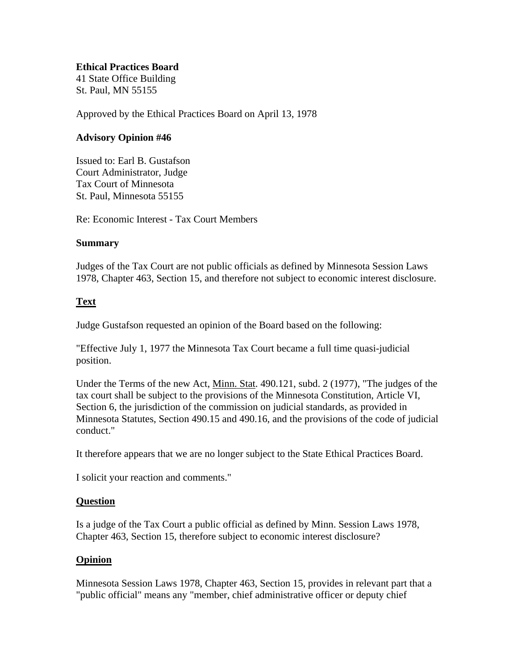#### **Ethical Practices Board**

41 State Office Building St. Paul, MN 55155

Approved by the Ethical Practices Board on April 13, 1978

## **Advisory Opinion #46**

Issued to: Earl B. Gustafson Court Administrator, Judge Tax Court of Minnesota St. Paul, Minnesota 55155

Re: Economic Interest - Tax Court Members

### **Summary**

Judges of the Tax Court are not public officials as defined by Minnesota Session Laws 1978, Chapter 463, Section 15, and therefore not subject to economic interest disclosure.

# **Text**

Judge Gustafson requested an opinion of the Board based on the following:

"Effective July 1, 1977 the Minnesota Tax Court became a full time quasi-judicial position.

Under the Terms of the new Act, Minn. Stat. 490.121, subd. 2 (1977), "The judges of the tax court shall be subject to the provisions of the Minnesota Constitution, Article VI, Section 6, the jurisdiction of the commission on judicial standards, as provided in Minnesota Statutes, Section 490.15 and 490.16, and the provisions of the code of judicial conduct."

It therefore appears that we are no longer subject to the State Ethical Practices Board.

I solicit your reaction and comments."

### **Question**

Is a judge of the Tax Court a public official as defined by Minn. Session Laws 1978, Chapter 463, Section 15, therefore subject to economic interest disclosure?

### **Opinion**

Minnesota Session Laws 1978, Chapter 463, Section 15, provides in relevant part that a "public official" means any "member, chief administrative officer or deputy chief